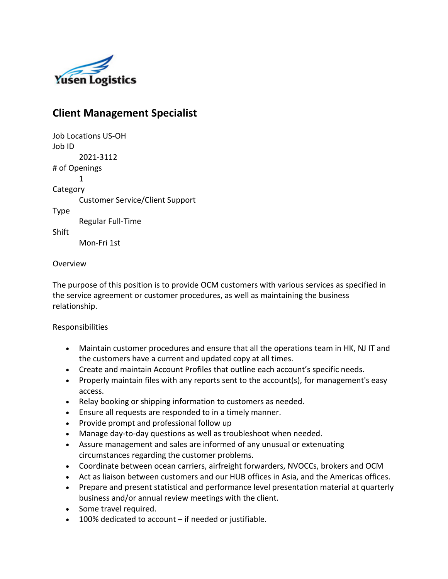

# **Client Management Specialist**

Job Locations US-OH Job ID 2021-3112 # of Openings 1 **Category** Customer Service/Client Support Type Regular Full-Time Shift Mon-Fri 1st

### Overview

The purpose of this position is to provide OCM customers with various services as specified in the service agreement or customer procedures, as well as maintaining the business relationship.

### Responsibilities

- Maintain customer procedures and ensure that all the operations team in HK, NJ IT and the customers have a current and updated copy at all times.
- Create and maintain Account Profiles that outline each account's specific needs.
- Properly maintain files with any reports sent to the account(s), for management's easy access.
- Relay booking or shipping information to customers as needed.
- Ensure all requests are responded to in a timely manner.
- Provide prompt and professional follow up
- Manage day-to-day questions as well as troubleshoot when needed.
- Assure management and sales are informed of any unusual or extenuating circumstances regarding the customer problems.
- Coordinate between ocean carriers, airfreight forwarders, NVOCCs, brokers and OCM
- Act as liaison between customers and our HUB offices in Asia, and the Americas offices.
- Prepare and present statistical and performance level presentation material at quarterly business and/or annual review meetings with the client.
- Some travel required.
- 100% dedicated to account if needed or justifiable.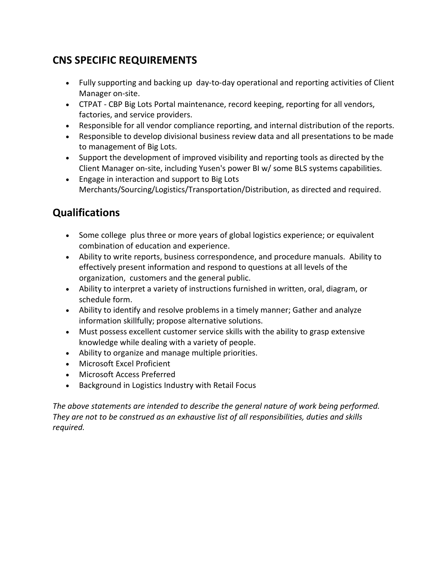# **CNS SPECIFIC REQUIREMENTS**

- Fully supporting and backing up day-to-day operational and reporting activities of Client Manager on-site.
- CTPAT CBP Big Lots Portal maintenance, record keeping, reporting for all vendors, factories, and service providers.
- Responsible for all vendor compliance reporting, and internal distribution of the reports.
- Responsible to develop divisional business review data and all presentations to be made to management of Big Lots.
- Support the development of improved visibility and reporting tools as directed by the Client Manager on-site, including Yusen's power BI w/ some BLS systems capabilities.
- Engage in interaction and support to Big Lots Merchants/Sourcing/Logistics/Transportation/Distribution, as directed and required.

# **Qualifications**

- Some college plus three or more years of global logistics experience; or equivalent combination of education and experience.
- Ability to write reports, business correspondence, and procedure manuals. Ability to effectively present information and respond to questions at all levels of the organization, customers and the general public.
- Ability to interpret a variety of instructions furnished in written, oral, diagram, or schedule form.
- Ability to identify and resolve problems in a timely manner; Gather and analyze information skillfully; propose alternative solutions.
- Must possess excellent customer service skills with the ability to grasp extensive knowledge while dealing with a variety of people.
- Ability to organize and manage multiple priorities.
- Microsoft Excel Proficient
- Microsoft Access Preferred
- Background in Logistics Industry with Retail Focus

*The above statements are intended to describe the general nature of work being performed. They are not to be construed as an exhaustive list of all responsibilities, duties and skills required.*